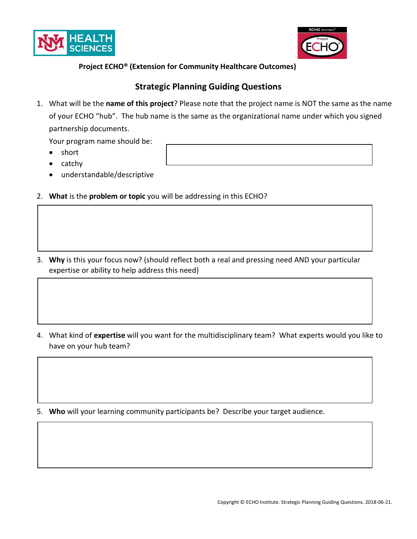



## **Project ECHO® (Extension for Community Healthcare Outcomes)**

## **Strategic Planning Guiding Questions**

1. What will be the **name of this project**? Please note that the project name is NOT the same as the name of your ECHO "hub". The hub name is the same as the organizational name under which you signed partnership documents.

Your program name should be:

- short
- catchy
- understandable/descriptive
- 2. **What** is the **problem or topic** you will be addressing in this ECHO?
- 3. **Why** is this your focus now? (should reflect both a real and pressing need AND your particular expertise or ability to help address this need)

4. What kind of **expertise** will you want for the multidisciplinary team? What experts would you like to have on your hub team?

5. **Who** will your learning community participants be? Describe your target audience.